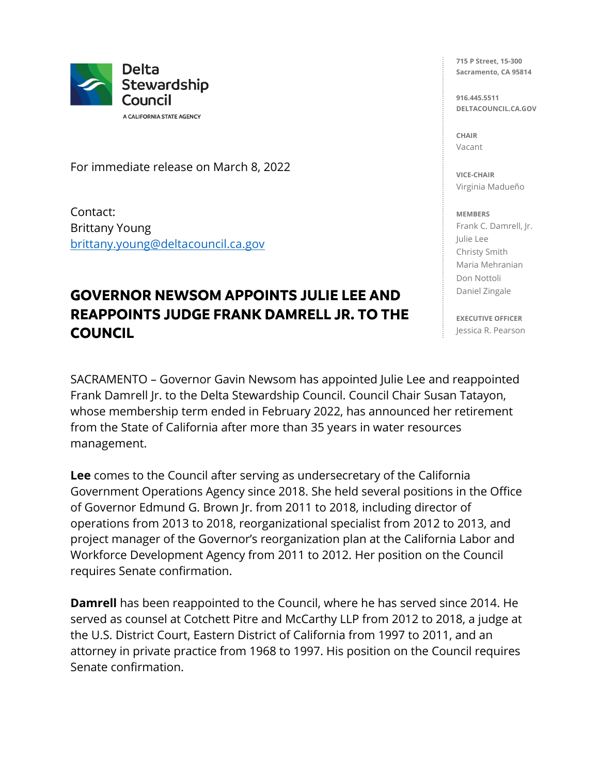

A CALIFORNIA STATE AGENCY

For immediate release on March 8, 2022

Contact: Brittany Young [brittany.young@deltacouncil.ca.gov](mailto:brittany.young@deltacouncil.ca.gov) 

## **GOVERNOR NEWSOM APPOINTS JULIE LEE AND REAPPOINTS JUDGE FRANK DAMRELL JR. TO THE COUNCIL**

SACRAMENTO – Governor Gavin Newsom has appointed Julie Lee and reappointed Frank Damrell Jr. to the Delta Stewardship Council. Council Chair Susan Tatayon, whose membership term ended in February 2022, has announced her retirement from the State of California after more than 35 years in water resources management.

**Lee** comes to the Council after serving as undersecretary of the California Government Operations Agency since 2018. She held several positions in the Office of Governor Edmund G. Brown Jr. from 2011 to 2018, including director of operations from 2013 to 2018, reorganizational specialist from 2012 to 2013, and project manager of the Governor's reorganization plan at the California Labor and Workforce Development Agency from 2011 to 2012. Her position on the Council requires Senate confirmation.

**Damrell** has been reappointed to the Council, where he has served since 2014. He served as counsel at Cotchett Pitre and McCarthy LLP from 2012 to 2018, a judge at the U.S. District Court, Eastern District of California from 1997 to 2011, and an attorney in private practice from 1968 to 1997. His position on the Council requires Senate confirmation.

**715 P Street, 15-300 Sacramento, CA 95814**

**916.445.5511 DELTACOUNCIL.CA.GOV**

**CHAIR** Vacant

**VICE-CHAIR** Virginia Madueño

## **MEMBERS**

Frank C. Damrell, Jr. Julie Lee Christy Smith Maria Mehranian Don Nottoli Daniel Zingale

**EXECUTIVE OFFICER** Jessica R. Pearson